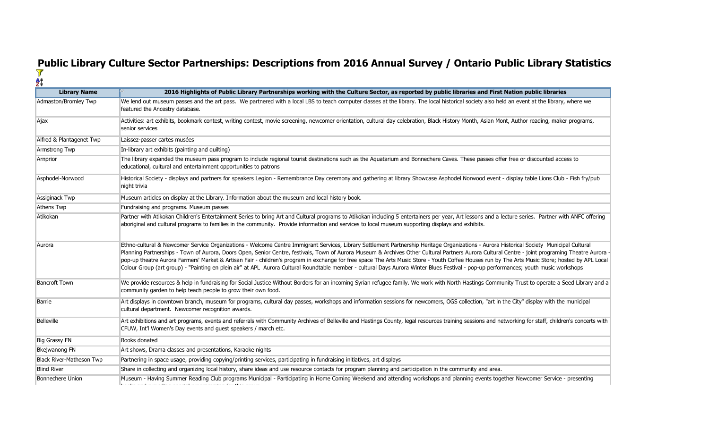## **Public Library Culture Sector Partnerships: Descriptions from 2016 Annual Survey / Ontario Public Library Statistics**

| <b>Library Name</b>             | 2016 Highlights of Public Library Partnerships working with the Culture Sector, as reported by public libraries and First Nation public libraries                                                                                                                                                                                                                                                                                                                                                                                                                                                                                                                                                                                                                                         |
|---------------------------------|-------------------------------------------------------------------------------------------------------------------------------------------------------------------------------------------------------------------------------------------------------------------------------------------------------------------------------------------------------------------------------------------------------------------------------------------------------------------------------------------------------------------------------------------------------------------------------------------------------------------------------------------------------------------------------------------------------------------------------------------------------------------------------------------|
| Admaston/Bromley Twp            | We lend out museum passes and the art pass. We partnered with a local LBS to teach computer classes at the library. The local historical society also held an event at the library, where we<br>featured the Ancestry database.                                                                                                                                                                                                                                                                                                                                                                                                                                                                                                                                                           |
| Ajax                            | Activities: art exhibits, bookmark contest, writing contest, movie screening, newcomer orientation, cultural day celebration, Black History Month, Asian Mont, Author reading, maker programs,<br>senior services                                                                                                                                                                                                                                                                                                                                                                                                                                                                                                                                                                         |
| Alfred & Plantagenet Twp        | Laissez-passer cartes musées                                                                                                                                                                                                                                                                                                                                                                                                                                                                                                                                                                                                                                                                                                                                                              |
| Armstrong Twp                   | In-library art exhibits (painting and quilting)                                                                                                                                                                                                                                                                                                                                                                                                                                                                                                                                                                                                                                                                                                                                           |
| Arnprior                        | The library expanded the museum pass program to include regional tourist destinations such as the Aquatarium and Bonnechere Caves. These passes offer free or discounted access to<br>educational, cultural and entertainment opportunities to patrons                                                                                                                                                                                                                                                                                                                                                                                                                                                                                                                                    |
| Asphodel-Norwood                | Historical Society - displays and partners for speakers Legion - Remembrance Day ceremony and gathering at library Showcase Asphodel Norwood event - display table Lions Club - Fish fry/pub<br>night trivia                                                                                                                                                                                                                                                                                                                                                                                                                                                                                                                                                                              |
| Assiginack Twp                  | Museum articles on display at the Library. Information about the museum and local history book.                                                                                                                                                                                                                                                                                                                                                                                                                                                                                                                                                                                                                                                                                           |
| <b>Athens Twp</b>               | Fundraising and programs. Museum passes                                                                                                                                                                                                                                                                                                                                                                                                                                                                                                                                                                                                                                                                                                                                                   |
| Atikokan                        | Partner with Atikokan Children's Entertainment Series to bring Art and Cultural programs to Atikokan including 5 entertainers per year, Art lessons and a lecture series. Partner with ANFC offering<br>aboriginal and cultural programs to families in the community. Provide information and services to local museum supporting displays and exhibits.                                                                                                                                                                                                                                                                                                                                                                                                                                 |
| Aurora                          | Ethno-cultural & Newcomer Service Organizations - Welcome Centre Immigrant Services, Library Settlement Partnership Heritage Organizations - Aurora Historical Society Municipal Cultural<br>Planning Partnerships - Town of Aurora, Doors Open, Senior Centre, festivals, Town of Aurora Museum & Archives Other Cultural Partners Aurora Cultural Centre - joint programing Theatre Aurora<br>pop-up theatre Aurora Farmers' Market & Artisan Fair - children's program in exchange for free space The Arts Music Store - Youth Coffee Houses run by The Arts Music Store; hosted by APL Local<br>Colour Group (art group) - "Painting en plein air" at APL Aurora Cultural Roundtable member - cultural Days Aurora Winter Blues Festival - pop-up performances; youth music workshops |
| <b>Bancroft Town</b>            | We provide resources & help in fundraising for Social Justice Without Borders for an incoming Syrian refugee family. We work with North Hastings Community Trust to operate a Seed Library and a<br>community garden to help teach people to grow their own food.                                                                                                                                                                                                                                                                                                                                                                                                                                                                                                                         |
| Barrie                          | Art displays in downtown branch, museum for programs, cultural day passes, workshops and information sessions for newcomers, OGS collection, "art in the City" display with the municipal<br>cultural department. Newcomer recognition awards.                                                                                                                                                                                                                                                                                                                                                                                                                                                                                                                                            |
| Belleville                      | Art exhibitions and art programs, events and referrals with Community Archives of Belleville and Hastings County, legal resources training sessions and networking for staff, children's concerts with<br>CFUW, Int'l Women's Day events and guest speakers / march etc.                                                                                                                                                                                                                                                                                                                                                                                                                                                                                                                  |
| <b>Big Grassy FN</b>            | <b>Books donated</b>                                                                                                                                                                                                                                                                                                                                                                                                                                                                                                                                                                                                                                                                                                                                                                      |
| Bkejwanong FN                   | Art shows, Drama classes and presentations, Karaoke nights                                                                                                                                                                                                                                                                                                                                                                                                                                                                                                                                                                                                                                                                                                                                |
| <b>Black River-Matheson Twp</b> | Partnering in space usage, providing copying/printing services, participating in fundraising initiatives, art displays                                                                                                                                                                                                                                                                                                                                                                                                                                                                                                                                                                                                                                                                    |
| <b>Blind River</b>              | Share in collecting and organizing local history, share ideas and use resource contacts for program planning and participation in the community and area.                                                                                                                                                                                                                                                                                                                                                                                                                                                                                                                                                                                                                                 |
| <b>Bonnechere Union</b>         | Museum - Having Summer Reading Club programs Municipal - Participating in Home Coming Weekend and attending workshops and planning events together Newcomer Service - presenting                                                                                                                                                                                                                                                                                                                                                                                                                                                                                                                                                                                                          |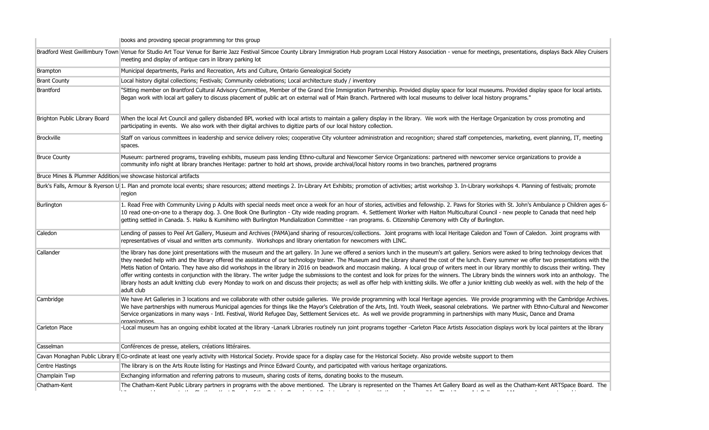|                                                                  | books and providing special programming for this group                                                                                                                                                                                                                                                                                                                                                                                                                                                                                                                                                                                                                                                                                                                                                                                                                                                                                                                                                                                           |
|------------------------------------------------------------------|--------------------------------------------------------------------------------------------------------------------------------------------------------------------------------------------------------------------------------------------------------------------------------------------------------------------------------------------------------------------------------------------------------------------------------------------------------------------------------------------------------------------------------------------------------------------------------------------------------------------------------------------------------------------------------------------------------------------------------------------------------------------------------------------------------------------------------------------------------------------------------------------------------------------------------------------------------------------------------------------------------------------------------------------------|
|                                                                  | Bradford West Gwillimbury Town Venue for Studio Art Tour Venue for Barrie Jazz Festival Simcoe County Library Immigration Hub program Local History Association - venue for meetings, presentations, displays Back Alley Cruis<br>meeting and display of antique cars in library parking lot                                                                                                                                                                                                                                                                                                                                                                                                                                                                                                                                                                                                                                                                                                                                                     |
| <b>Brampton</b>                                                  | Municipal departments, Parks and Recreation, Arts and Culture, Ontario Genealogical Society                                                                                                                                                                                                                                                                                                                                                                                                                                                                                                                                                                                                                                                                                                                                                                                                                                                                                                                                                      |
| <b>Brant County</b>                                              | Local history digital collections; Festivals; Community celebrations; Local architecture study / inventory                                                                                                                                                                                                                                                                                                                                                                                                                                                                                                                                                                                                                                                                                                                                                                                                                                                                                                                                       |
| Brantford                                                        | "Sitting member on Brantford Cultural Advisory Committee, Member of the Grand Erie Immigration Partnership. Provided display space for local museums. Provided display space for local antists.<br>Began work with local art gallery to discuss placement of public art on external wall of Main Branch. Partnered with local museums to deliver local history programs."                                                                                                                                                                                                                                                                                                                                                                                                                                                                                                                                                                                                                                                                        |
| Brighton Public Library Board                                    | When the local Art Council and gallery disbanded BPL worked with local artists to maintain a gallery display in the library. We work with the Heritage Organization by cross promoting and<br>participating in events. We also work with their digital archives to digitize parts of our local history collection.                                                                                                                                                                                                                                                                                                                                                                                                                                                                                                                                                                                                                                                                                                                               |
| Brockville                                                       | Staff on various committees in leadership and service delivery roles; cooperative City volunteer administration and recognition; shared staff competencies, marketing, event planning, IT, meeting<br>spaces.                                                                                                                                                                                                                                                                                                                                                                                                                                                                                                                                                                                                                                                                                                                                                                                                                                    |
| <b>Bruce County</b>                                              | Museum: partnered programs, traveling exhibits, museum pass lending Ethno-cultural and Newcomer Service Organizations: partnered with newcomer service organizations to provide a<br>community info night at library branches Heritage: partner to hold art shows, provide archival/local history rooms in two branches, partnered programs                                                                                                                                                                                                                                                                                                                                                                                                                                                                                                                                                                                                                                                                                                      |
| Bruce Mines & Plummer Addition: we showcase historical artifacts |                                                                                                                                                                                                                                                                                                                                                                                                                                                                                                                                                                                                                                                                                                                                                                                                                                                                                                                                                                                                                                                  |
|                                                                  | Burk's Falls, Armour & Ryerson U 1. Plan and promote local events; share resources; attend meetings 2. In-Library Art Exhibits; promotion of activities; artist workshop 3. In-Library workshops 4. Planning of festivals; pro<br>region                                                                                                                                                                                                                                                                                                                                                                                                                                                                                                                                                                                                                                                                                                                                                                                                         |
| Burlington                                                       | 1. Read Free with Community Living p Adults with special needs meet once a week for an hour of stories, activities and fellowship. 2. Paws for Stories with St. John's Ambulance p Children ages 6-<br>10 read one-on-one to a therapy dog. 3. One Book One Burlington - City wide reading program. 4. Settlement Worker with Halton Multicultural Council - new people to Canada that need help<br>getting settled in Canada. 5. Haiku & Kumihimo with Burlington Mundialization Committee - ran programs. 6. Citizenship Ceremony with City of Burlington.                                                                                                                                                                                                                                                                                                                                                                                                                                                                                     |
| Caledon                                                          | Lending of passes to Peel Art Gallery, Museum and Archives (PAMA)and sharing of resources/collections. Joint programs with local Heritage Caledon and Town of Caledon. Joint programs with<br>representatives of visual and written arts community. Workshops and library orientation for newcomers with LINC.                                                                                                                                                                                                                                                                                                                                                                                                                                                                                                                                                                                                                                                                                                                                   |
| Callander                                                        | the library has done joint presentations with the museum and the art gallery. In June we offered a seniors lunch in the museum's art gallery. Seniors were asked to bring technology devices that<br>they needed help with and the library offered the assistance of our technology trainer. The Museum and the Library shared the cost of the lunch. Every summer we offer two presentations with the<br>Metis Nation of Ontario. They have also did workshops in the library in 2016 on beadwork and moccasin making. A local group of writers meet in our library monthly to discuss their writing. They<br>offer writing contests in conjunction with the library. The writer judge the submissions to the contest and look for prizes for the winners. The Library binds the winners work into an anthology. The<br>library hosts an adult knitting club every Monday to work on and discuss their projects; as well as offer help with knitting skills. We offer a junior knitting club weekly as well, with the help of the<br>adult club |
| Cambridge                                                        | We have Art Galleries in 3 locations and we collaborate with other outside galleries. We provide programming with local Heritage agencies. We provide programming with the Cambridge Archives.<br>We have partnerships with numerous Municipal agencies for things like the Mayor's Celebration of the Arts, Intl. Youth Week, seasonal celebrations. We partner with Ethno-Cultural and Newcomer<br>Service organizations in many ways - Intl. Festival, World Refugee Day, Settlement Services etc. As well we provide programming in partnerships with many Music, Dance and Drama<br>organizations                                                                                                                                                                                                                                                                                                                                                                                                                                           |
| <b>Carleton Place</b>                                            | -Local museum has an ongoing exhibit located at the library -Lanark Libraries routinely run joint programs together -Carleton Place Artists Association displays work by local painters at the library                                                                                                                                                                                                                                                                                                                                                                                                                                                                                                                                                                                                                                                                                                                                                                                                                                           |
| Casselman                                                        | Conférences de presse, ateliers, créations littéraires.                                                                                                                                                                                                                                                                                                                                                                                                                                                                                                                                                                                                                                                                                                                                                                                                                                                                                                                                                                                          |
|                                                                  | Cavan Monaghan Public Library E Co-ordinate at least one yearly activity with Historical Society. Provide space for a display case for the Historical Society. Also provide website support to them                                                                                                                                                                                                                                                                                                                                                                                                                                                                                                                                                                                                                                                                                                                                                                                                                                              |
| Centre Hastings                                                  | The library is on the Arts Route listing for Hastings and Prince Edward County, and participated with various heritage organizations.                                                                                                                                                                                                                                                                                                                                                                                                                                                                                                                                                                                                                                                                                                                                                                                                                                                                                                            |
| Champlain Twp                                                    | Exchanging information and referring patrons to museum, sharing costs of items, donating books to the museum.                                                                                                                                                                                                                                                                                                                                                                                                                                                                                                                                                                                                                                                                                                                                                                                                                                                                                                                                    |
| Chatham-Kent                                                     | The Chatham-Kent Public Library partners in programs with the above mentioned. The Library is represented on the Thames Art Gallery Board as well as the Chatham-Kent ARTSpace Board. The<br>المتاري والمتناقص والمتناقص والمتحرق والمتحرق والمستقر والمتنافذ والمتناقص والمتناور<br><b>Contractor</b><br><b>Contractor</b><br>contract to see the contract<br>$\mathbf{A}$ , and $\mathbf{B}$ , and $\mathbf{B}$<br>$\sim$ 100 $\sim$ 100 $\sim$                                                                                                                                                                                                                                                                                                                                                                                                                                                                                                                                                                                                |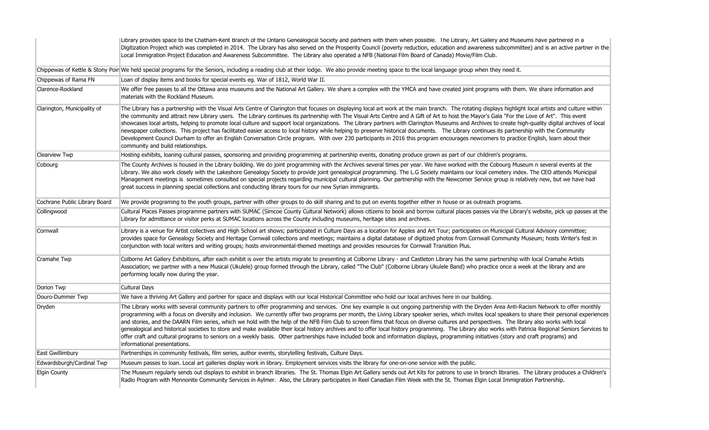|                               | Library provides space to the Chatham-Kent Branch of the Ontario Genealogical Society and partners with them when possible. The Library, Art Gallery and Museums have partnered in a<br>Digitization Project which was completed in 2014. The Library has also served on the Prosperity Council (poverty reduction, education and awareness subcommittee) and is an active partner in the<br>Local Immigration Project Education and Awareness Subcommittee. The Library also operated a NFB (National Film Board of Canada) Movie/Film Club.                                                                                                                                                                                                                                                                                                                                                                                                                                                                                                  |
|-------------------------------|------------------------------------------------------------------------------------------------------------------------------------------------------------------------------------------------------------------------------------------------------------------------------------------------------------------------------------------------------------------------------------------------------------------------------------------------------------------------------------------------------------------------------------------------------------------------------------------------------------------------------------------------------------------------------------------------------------------------------------------------------------------------------------------------------------------------------------------------------------------------------------------------------------------------------------------------------------------------------------------------------------------------------------------------|
|                               | Chippewas of Kettle & Stony Poir We held special programs for the Seniors, including a reading club at their lodge. We also provide meeting space to the local language group when they need it.                                                                                                                                                                                                                                                                                                                                                                                                                                                                                                                                                                                                                                                                                                                                                                                                                                               |
| Chippewas of Rama FN          | Loan of display items and books for special events eq. War of 1812, World War II.                                                                                                                                                                                                                                                                                                                                                                                                                                                                                                                                                                                                                                                                                                                                                                                                                                                                                                                                                              |
| Clarence-Rockland             | We offer free passes to all the Ottawa area museums and the National Art Gallery. We share a complex with the YMCA and have created joint programs with them. We share information and<br>materials with the Rockland Museum.                                                                                                                                                                                                                                                                                                                                                                                                                                                                                                                                                                                                                                                                                                                                                                                                                  |
| Clarington, Municipality of   | The Library has a partnership with the Visual Arts Centre of Clarington that focuses on displaying local art work at the main branch. The rotating displays highlight local artists and culture within<br>the community and attract new Library users. The Library continues its partnership with The Visual Arts Centre and A Gift of Art to host the Mayor's Gala "For the Love of Art". This event<br>showcases local artists, helping to promote local culture and support local organizations. The Library partners with Clarington Museums and Archives to create high-quality digital archives of local<br>newspaper collections. This project has facilitated easier access to local history while helping to preserve historical documents. The Library continues its partnership with the Community<br>Development Council Durham to offer an English Conversation Circle program. With over 230 participants in 2016 this program encourages newcomers to practice English, learn about their<br>community and build relationships. |
| Clearview Twp                 | Hosting exhibits, loaning cultural passes, sponsoring and providing programming at partnership events, donating produce grown as part of our children's programs.                                                                                                                                                                                                                                                                                                                                                                                                                                                                                                                                                                                                                                                                                                                                                                                                                                                                              |
| Cobourg                       | The County Archives is housed in the Library building. We do joint programming with the Archives several times per year. We have worked with the Cobourg Museum n several events at the<br>Library. We also work closely with the Lakeshore Genealogy Society to provide joint genealogical programming. The L.G Society maintains our local cemetery index. The CEO attends Municipal<br>Management meetings is sometimes consulted on special projects regarding municipal cultural planning. Our partnership with the Newcomer Service group is relatively new, but we have had<br>great success in planning special collections and conducting library tours for our new Syrian immigrants.                                                                                                                                                                                                                                                                                                                                                |
| Cochrane Public Library Board | We provide programing to the youth groups, partner with other groups to do skill sharing and to put on events together either in house or as outreach programs.                                                                                                                                                                                                                                                                                                                                                                                                                                                                                                                                                                                                                                                                                                                                                                                                                                                                                |
| Collingwood                   | Cultural Places Passes programme partners with SUMAC (Simcoe County Cultural Network) allows citizens to book and borrow cultural places passes via the Library's website, pick up passes at the<br>Library for admittance or visitor perks at SUMAC locations across the County including museums, heritage sites and archives.                                                                                                                                                                                                                                                                                                                                                                                                                                                                                                                                                                                                                                                                                                               |
| Cornwall                      | Library is a venue for Artist collectives and High School art shows; participated in Culture Days as a location for Apples and Art Tour; participates on Municipal Cultural Advisory committee;<br>provides space for Genealogy Society and Heritage Cornwall collections and meetings; maintains a digital database of digitized photos from Cornwall Community Museum; hosts Writer's fest in<br>conjunction with local writers and writing groups; hosts environmental-themed meetings and provides resources for Cornwall Transition Plus.                                                                                                                                                                                                                                                                                                                                                                                                                                                                                                 |
| Cramahe Twp                   | Colborne Art Gallery Exhibitions, after each exhibit is over the artists migrate to presenting at Colborne Library - and Castleton Library has the same partnership with local Cramahe Artists<br>Association; we partner with a new Musical (Ukulele) group formed through the Library, called "The Club" (Colborne Library Ukulele Band) who practice once a week at the library and are<br>performing locally now during the year.                                                                                                                                                                                                                                                                                                                                                                                                                                                                                                                                                                                                          |
| Dorion Twp                    | Cultural Days                                                                                                                                                                                                                                                                                                                                                                                                                                                                                                                                                                                                                                                                                                                                                                                                                                                                                                                                                                                                                                  |
| Douro-Dummer Twp              | We have a thriving Art Gallery and partner for space and displays with our local Historical Committee who hold our local archives here in our building.                                                                                                                                                                                                                                                                                                                                                                                                                                                                                                                                                                                                                                                                                                                                                                                                                                                                                        |
| Dryden                        | The Library works with several community partners to offer programming and services. One key example is out ongoing partnership with the Dryden Area Anti-Racism Network to offer monthly<br>programming with a focus on diversity and inclusion. We currently offer two programs per month, the Living Library speaker series, which invites local speakers to share their personal experiences<br>and stories, and the DAARN Film series, which we hold with the help of the NFB Film Club to screen films that focus on diverse cultures and perspectives. The library also works with local<br>genealogical and historical societies to store and make available their local history archives and to offer local history programming. The Library also works with Patricia Regional Seniors Services to<br>offer craft and cultural programs to seniors on a weekly basis. Other partnerships have included book and information displays, programming initiatives (story and craft programs) and<br>informational presentations.          |
| East Gwillimbury              | Partnerships in community festivals, film series, author events, storytelling festivals, Culture Days.                                                                                                                                                                                                                                                                                                                                                                                                                                                                                                                                                                                                                                                                                                                                                                                                                                                                                                                                         |
| Edwardsburgh/Cardinal Twp     | Museum passes to loan. Local art galleries display work in library. Employment services visits the library for one-on-one service with the public.                                                                                                                                                                                                                                                                                                                                                                                                                                                                                                                                                                                                                                                                                                                                                                                                                                                                                             |
| <b>Elgin County</b>           | The Museum regularly sends out displays to exhibit in branch libraries. The St. Thomas Elgin Art Gallery sends out Art Kits for patrons to use in branch libraries. The Library produces a Children's<br>Radio Program with Mennonite Community Services in Aylmer. Also, the Library participates in Reel Canadian Film Week with the St. Thomas Elgin Local Immigration Partnership.                                                                                                                                                                                                                                                                                                                                                                                                                                                                                                                                                                                                                                                         |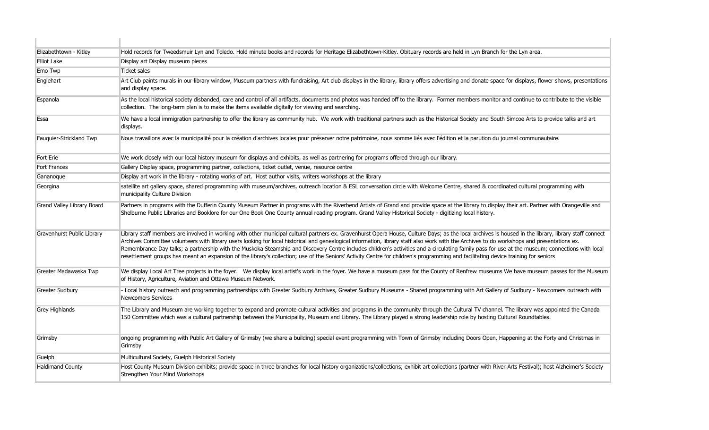| Elizabethtown - Kitley     | Hold records for Tweedsmuir Lyn and Toledo. Hold minute books and records for Heritage Elizabethtown-Kitley. Obituary records are held in Lyn Branch for the Lyn area.                                                                                                                                                                                                                                                                                                                                                                                                                                                                                                                                                                                                                         |
|----------------------------|------------------------------------------------------------------------------------------------------------------------------------------------------------------------------------------------------------------------------------------------------------------------------------------------------------------------------------------------------------------------------------------------------------------------------------------------------------------------------------------------------------------------------------------------------------------------------------------------------------------------------------------------------------------------------------------------------------------------------------------------------------------------------------------------|
| <b>Elliot Lake</b>         | Display art Display museum pieces                                                                                                                                                                                                                                                                                                                                                                                                                                                                                                                                                                                                                                                                                                                                                              |
| Emo Twp                    | <b>Ticket sales</b>                                                                                                                                                                                                                                                                                                                                                                                                                                                                                                                                                                                                                                                                                                                                                                            |
| Englehart                  | Art Club paints murals in our library window, Museum partners with fundraising, Art club displays in the library, library offers advertising and donate space for displays, flower shows, presentations<br>and display space.                                                                                                                                                                                                                                                                                                                                                                                                                                                                                                                                                                  |
| Espanola                   | As the local historical society disbanded, care and control of all artifacts, documents and photos was handed off to the library. Former members monitor and continue to contribute to the visible<br>collection. The long-term plan is to make the items available digitally for viewing and searching.                                                                                                                                                                                                                                                                                                                                                                                                                                                                                       |
| Essa                       | We have a local immigration partnership to offer the library as community hub. We work with traditional partners such as the Historical Society and South Simcoe Arts to provide talks and art<br>displays.                                                                                                                                                                                                                                                                                                                                                                                                                                                                                                                                                                                    |
| Fauquier-Strickland Twp    | Nous travaillons avec la municipalité pour la création d'archives locales pour préserver notre patrimoine, nous somme liés avec l'édition et la parution du journal communautaire.                                                                                                                                                                                                                                                                                                                                                                                                                                                                                                                                                                                                             |
| Fort Erie                  | We work closely with our local history museum for displays and exhibits, as well as partnering for programs offered through our library.                                                                                                                                                                                                                                                                                                                                                                                                                                                                                                                                                                                                                                                       |
| <b>Fort Frances</b>        | Gallery Display space, programming partner, collections, ticket outlet, venue, resource centre                                                                                                                                                                                                                                                                                                                                                                                                                                                                                                                                                                                                                                                                                                 |
| Gananoque                  | Display art work in the library - rotating works of art. Host author visits, writers workshops at the library                                                                                                                                                                                                                                                                                                                                                                                                                                                                                                                                                                                                                                                                                  |
| Georgina                   | satellite art gallery space, shared programming with museum/archives, outreach location & ESL conversation circle with Welcome Centre, shared & coordinated cultural programming with<br>municipality Culture Division                                                                                                                                                                                                                                                                                                                                                                                                                                                                                                                                                                         |
| Grand Valley Library Board | Partners in programs with the Dufferin County Museum Partner in programs with the Riverbend Artists of Grand and provide space at the library to display their art. Partner with Orangeville and<br>Shelburne Public Libraries and Booklore for our One Book One County annual reading program. Grand Valley Historical Society - digitizing local history.                                                                                                                                                                                                                                                                                                                                                                                                                                    |
| Gravenhurst Public Library | Library staff members are involved in working with other municipal cultural partners ex. Gravenhurst Opera House, Culture Days; as the local archives is housed in the library, library staff connect<br>Archives Committee volunteers with library users looking for local historical and genealogical information, library staff also work with the Archives to do workshops and presentations ex.<br>Remembrance Day talks; a partnership with the Muskoka Steamship and Discovery Centre includes children's activities and a circulating family pass for use at the museum; connections with local<br>resettlement groups has meant an expansion of the library's collection; use of the Seniors' Activity Centre for children's programming and facilitating device training for seniors |
| Greater Madawaska Twp      | We display Local Art Tree projects in the foyer. We display local artist's work in the foyer. We have a museum pass for the County of Renfrew museums We have museum passes for the Museum<br>of History, Agriculture, Aviation and Ottawa Museum Network.                                                                                                                                                                                                                                                                                                                                                                                                                                                                                                                                     |
| <b>Greater Sudbury</b>     | - Local history outreach and programming partnerships with Greater Sudbury Archives, Greater Sudbury Museums - Shared programming with Art Gallery of Sudbury - Newcomers outreach with<br><b>Newcomers Services</b>                                                                                                                                                                                                                                                                                                                                                                                                                                                                                                                                                                           |
| <b>Grey Highlands</b>      | The Library and Museum are working together to expand and promote cultural activities and programs in the community through the Cultural TV channel. The library was appointed the Canada<br>150 Committee which was a cultural partnership between the Municipality, Museum and Library. The Library played a strong leadership role by hosting Cultural Roundtables.                                                                                                                                                                                                                                                                                                                                                                                                                         |
| Grimsby                    | ongoing programming with Public Art Gallery of Grimsby (we share a building) special event programming with Town of Grimsby including Doors Open, Happening at the Forty and Christmas in<br>Grimsby                                                                                                                                                                                                                                                                                                                                                                                                                                                                                                                                                                                           |
| Guelph                     | Multicultural Society, Guelph Historical Society                                                                                                                                                                                                                                                                                                                                                                                                                                                                                                                                                                                                                                                                                                                                               |
| <b>Haldimand County</b>    | Host County Museum Division exhibits; provide space in three branches for local history organizations/collections; exhibit art collections (partner with River Arts Festival); host Alzheimer's Society<br>Strengthen Your Mind Workshops                                                                                                                                                                                                                                                                                                                                                                                                                                                                                                                                                      |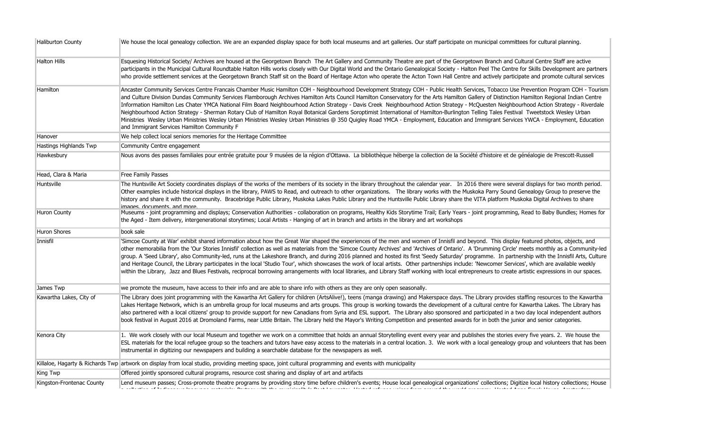| <b>Haliburton County</b>      | We house the local genealogy collection. We are an expanded display space for both local museums and art galleries. Our staff participate on municipal committees for cultural planning.                                                                                                                                                                                                                                                                                                                                                                                                                                                                                                                                                                                                                                                                                                                                                                                                                               |
|-------------------------------|------------------------------------------------------------------------------------------------------------------------------------------------------------------------------------------------------------------------------------------------------------------------------------------------------------------------------------------------------------------------------------------------------------------------------------------------------------------------------------------------------------------------------------------------------------------------------------------------------------------------------------------------------------------------------------------------------------------------------------------------------------------------------------------------------------------------------------------------------------------------------------------------------------------------------------------------------------------------------------------------------------------------|
| <b>Halton Hills</b>           | Esquesing Historical Society/ Archives are housed at the Georgetown Branch The Art Gallery and Community Theatre are part of the Georgetown Branch and Cultural Centre Staff are active<br>participants in the Municipal Cultural Roundtable Halton Hills works closely with Our Digital World and the Ontario Genealogical Society - Halton Peel The Centre for Skills Development are partners<br>who provide settlement services at the Georgetown Branch Staff sit on the Board of Heritage Acton who operate the Acton Town Hall Centre and actively participate and promote cultural services                                                                                                                                                                                                                                                                                                                                                                                                                    |
| <b>Hamilton</b>               | Ancaster Community Services Centre Francais Chamber Music Hamilton COH - Neighbourhood Development Strategy COH - Public Health Services, Tobacco Use Prevention Program COH - Tourism<br>and Culture Division Dundas Community Services Flamborough Archives Hamilton Arts Council Hamilton Conservatory for the Arts Hamilton Gallery of Distinction Hamilton Regional Indian Centre<br>Information Hamilton Les Chater YMCA National Film Board Neighbourhood Action Strategy - Davis Creek Neighbourhood Action Strategy - McQuesten Neighbourhood Action Strategy - Riverdale<br>Neighbourhood Action Strategy - Sherman Rotary Club of Hamilton Royal Botanical Gardens Soroptimist International of Hamilton-Burlington Telling Tales Festival Tweetstock Wesley Urban<br>Ministries Wesley Urban Ministries Wesley Urban Ministries Wesley Urban Ministries @ 350 Quigley Road YMCA - Employment, Education and Immigrant Services YWCA - Employment, Education<br>and Immigrant Services Hamilton Community F |
| Hanover                       | We help collect local seniors memories for the Heritage Committee                                                                                                                                                                                                                                                                                                                                                                                                                                                                                                                                                                                                                                                                                                                                                                                                                                                                                                                                                      |
| <b>Hastings Highlands Twp</b> | Community Centre engagement                                                                                                                                                                                                                                                                                                                                                                                                                                                                                                                                                                                                                                                                                                                                                                                                                                                                                                                                                                                            |
| Hawkesbury                    | Nous avons des passes familiales pour entrée gratuite pour 9 musées de la région d'Ottawa. La bibliothèque héberge la collection de la Société d'histoire et de généalogie de Prescott-Russell                                                                                                                                                                                                                                                                                                                                                                                                                                                                                                                                                                                                                                                                                                                                                                                                                         |
| Head, Clara & Maria           | Free Family Passes                                                                                                                                                                                                                                                                                                                                                                                                                                                                                                                                                                                                                                                                                                                                                                                                                                                                                                                                                                                                     |
| Huntsville                    | The Huntsville Art Society coordinates displays of the works of the members of its society in the library throughout the calendar year. In 2016 there were several displays for two month period.<br>Other examples include historical displays in the library, PAWS to Read, and outreach to other organizations. The library works with the Muskoka Parry Sound Genealogy Group to preserve the<br>history and share it with the community. Bracebridge Public Library, Muskoka Lakes Public Library and the Huntsville Public Library share the VITA platform Muskoka Digital Archives to share<br>imanes documents and more                                                                                                                                                                                                                                                                                                                                                                                        |
| <b>Huron County</b>           | Museums - joint programming and displays; Conservation Authorities - collaboration on programs, Healthy Kids Storytime Trail; Early Years - joint programming, Read to Baby Bundles; Homes for<br>the Aged - Item delivery, intergenerational storytimes; Local Artists - Hanging of art in branch and artists in the library and art workshops                                                                                                                                                                                                                                                                                                                                                                                                                                                                                                                                                                                                                                                                        |
| <b>Huron Shores</b>           | book sale                                                                                                                                                                                                                                                                                                                                                                                                                                                                                                                                                                                                                                                                                                                                                                                                                                                                                                                                                                                                              |
| Innisfil                      | 'Simcoe County at War' exhibit shared information about how the Great War shaped the experiences of the men and women of Innisfil and beyond. This display featured photos, objects, and<br>other memorabilia from the 'Our Stories Innisfil' collection as well as materials from the 'Simcoe County Archives' and 'Archives of Ontario'. A 'Drumming Circle' meets monthly as a Community-led<br>group. A 'Seed Library', also Community-led, runs at the Lakeshore Branch, and during 2016 planned and hosted its first 'Seedy Saturday' programme. In partnership with the Innisfil Arts, Culture<br>and Heritage Council, the Library participates in the local 'Studio Tour', which showcases the work of local artists. Other partnerships include: 'Newcomer Services', which are available weekly<br>within the Library, Jazz and Blues Festivals, reciprocal borrowing arrangements with local libraries, and Library Staff working with local entrepreneurs to create artistic expressions in our spaces.   |
| James Twp                     | we promote the museum, have access to their info and are able to share info with others as they are only open seasonally.                                                                                                                                                                                                                                                                                                                                                                                                                                                                                                                                                                                                                                                                                                                                                                                                                                                                                              |
| Kawartha Lakes, City of       | The Library does joint programming with the Kawartha Art Gallery for children (ArtsAlive!), teens (manga drawing) and Makerspace days. The Library provides staffing resources to the Kawartha<br>Lakes Heritage Network, which is an umbrella group for local museums and arts groups. This group is working towards the development of a cultural centre for Kawartha Lakes. The Library has<br>also partnered with a local citizens' group to provide support for new Canadians from Syria and ESL support. The Library also sponsored and participated in a two day local independent authors<br>book festival in August 2016 at Dromoland Farms, near Little Britain. The Library held the Mayor's Writing Competition and presented awards for in both the junior and senior categories.                                                                                                                                                                                                                         |
| Kenora City                   | 1. We work closely with our local Museum and together we work on a committee that holds an annual Storytelling event every year and publishes the stories every five years. 2. We house the<br>ESL materials for the local refugee group so the teachers and tutors have easy access to the materials in a central location. 3. We work with a local genealogy group and volunteers that has been<br>instrumental in digitizing our newspapers and building a searchable database for the newspapers as well.                                                                                                                                                                                                                                                                                                                                                                                                                                                                                                          |
|                               | Killaloe, Hagarty & Richards Twp artwork on display from local studio, providing meeting space, joint cultural programming and events with municipality                                                                                                                                                                                                                                                                                                                                                                                                                                                                                                                                                                                                                                                                                                                                                                                                                                                                |
| <b>King Twp</b>               | Offered jointly sponsored cultural programs, resource cost sharing and display of art and artifacts                                                                                                                                                                                                                                                                                                                                                                                                                                                                                                                                                                                                                                                                                                                                                                                                                                                                                                                    |
| Kingston-Frontenac County     | Lend museum passes; Cross-promote theatre programs by providing story time before children's events; House local genealogical organizations' collections; Digitize local history collections; House<br>المراجع والمستحقق والمتعاون والمستحقق والمستحقق والمستعمل والمستحق والمتعاون والمستحق والمنافرة والمتناول<br>the contract of the contract of<br>the contract of the contract<br><b>Contractor</b><br>the contract of the con-                                                                                                                                                                                                                                                                                                                                                                                                                                                                                                                                                                                   |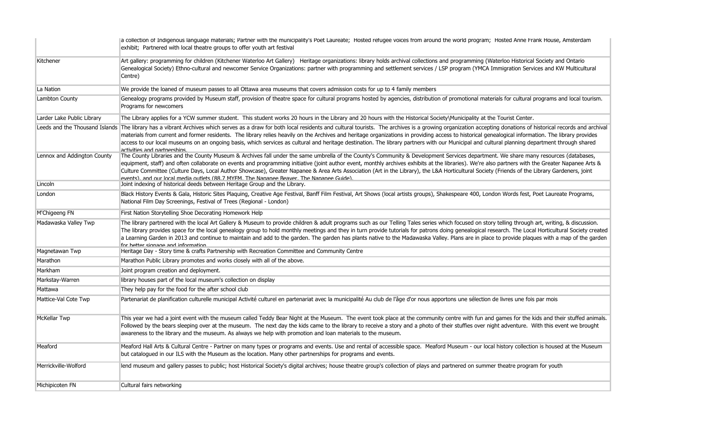|                             | a collection of Indigenous language materials; Partner with the municipality's Poet Laureate; Hosted retugee voices from around the world program; Hosted Anne Frank House, Amsterdam<br>exhibit; Partnered with local theatre groups to offer youth art festival                                                                                                                                                                                                                                                                                                                                                                                                                  |
|-----------------------------|------------------------------------------------------------------------------------------------------------------------------------------------------------------------------------------------------------------------------------------------------------------------------------------------------------------------------------------------------------------------------------------------------------------------------------------------------------------------------------------------------------------------------------------------------------------------------------------------------------------------------------------------------------------------------------|
| Kitchener                   | Art gallery: programming for children (Kitchener Waterloo Art Gallery) Heritage organizations: library holds archival collections and programming (Waterloo Historical Society and Ontario<br>Genealogical Society) Ethno-cultural and newcomer Service Organizations: partner with programming and settlement services / LSP program (YMCA Immigration Services and KW Multicultural<br>Centre)                                                                                                                                                                                                                                                                                   |
| La Nation                   | We provide the loaned of museum passes to all Ottawa area museums that covers admission costs for up to 4 family members                                                                                                                                                                                                                                                                                                                                                                                                                                                                                                                                                           |
| Lambton County              | Genealogy programs provided by Museum staff, provision of theatre space for cultural programs hosted by agencies, distribution of promotional materials for cultural programs and local tourism.<br>Programs for newcomers                                                                                                                                                                                                                                                                                                                                                                                                                                                         |
| Larder Lake Public Library  | The Library applies for a YCW summer student. This student works 20 hours in the Library and 20 hours with the Historical Society\Municipality at the Tourist Center.                                                                                                                                                                                                                                                                                                                                                                                                                                                                                                              |
|                             | Leeds and the Thousand Islands The library has a vibrant Archives which serves as a draw for both local residents and cultural tourists. The archives is a growing organization accepting donations of historical records and<br>materials from current and former residents. The library relies heavily on the Archives and heritage organizations in providing access to historical genealogical information. The library provides<br>access to our local museums on an ongoing basis, which services as cultural and heritage destination. The library partners with our Municipal and cultural planning department through shared<br>activities and nartnershins               |
| Lennox and Addington County | The County Libraries and the County Museum & Archives fall under the same umbrella of the County's Community & Development Services department. We share many resources (databases,<br>equipment, staff) and often collaborate on events and programming initiative (joint author event, monthly archives exhibits at the libraries). We're also partners with the Greater Napanee Arts &<br>Culture Committee (Culture Days, Local Author Showcase), Greater Napanee & Area Arts Association (Art in the Library), the L&A Horticultural Society (Friends of the Library Gardeners, joint<br>events) and our local media outlets (88.7 MYEM The Nananee Beaver The Nananee Guide) |
| Lincoln                     | Joint indexing of historical deeds between Heritage Group and the Library.                                                                                                                                                                                                                                                                                                                                                                                                                                                                                                                                                                                                         |
| London                      | Black History Events & Gala, Historic Sites Plaquing, Creative Age Festival, Banff Film Festival, Art Shows (local artists groups), Shakespeare 400, London Words fest, Poet Laureate Programs,<br>National Film Day Screenings, Festival of Trees (Regional - London)                                                                                                                                                                                                                                                                                                                                                                                                             |
| M'Chigeeng FN               | First Nation Storytelling Shoe Decorating Homework Help                                                                                                                                                                                                                                                                                                                                                                                                                                                                                                                                                                                                                            |
| Madawaska Valley Twp        | The library partnered with the local Art Gallery & Museum to provide children & adult programs such as our Telling Tales series which focused on story telling through art, writing, & discussion.<br>The library provides space for the local genealogy group to hold monthly meetings and they in turn provide tutorials for patrons doing genealogical research. The Local Horticultural Society created<br>a Learning Garden in 2013 and continue to maintain and add to the garden. The garden has plants native to the Madawaska Valley. Plans are in place to provide plagues with a map of the garden<br>for hetter signage and information                                |
| Magnetawan Twp              | Heritage Day - Story time & crafts Partnership with Recreation Committee and Community Centre                                                                                                                                                                                                                                                                                                                                                                                                                                                                                                                                                                                      |
| Marathon                    | Marathon Public Library promotes and works closely with all of the above.                                                                                                                                                                                                                                                                                                                                                                                                                                                                                                                                                                                                          |
| Markham                     | Joint program creation and deployment.                                                                                                                                                                                                                                                                                                                                                                                                                                                                                                                                                                                                                                             |
| Markstay-Warren             | library houses part of the local museum's collection on display                                                                                                                                                                                                                                                                                                                                                                                                                                                                                                                                                                                                                    |
| Mattawa                     | They help pay for the food for the after school club                                                                                                                                                                                                                                                                                                                                                                                                                                                                                                                                                                                                                               |
| Mattice-Val Cote Twp        | Partenariat de planification culturelle municipal Activité culturel en partenariat avec la municipalité Au club de l'âge d'or nous apportons une sélection de livres une fois par mois                                                                                                                                                                                                                                                                                                                                                                                                                                                                                             |
| McKellar Twp                | This year we had a joint event with the museum called Teddy Bear Night at the Museum. The event took place at the community centre with fun and games for the kids and their stuffed animals.<br>Followed by the bears sleeping over at the museum. The next day the kids came to the library to receive a story and a photo of their stuffies over night adventure. With this event we brought<br>awareness to the library and the museum. As always we help with promotion and loan materials to the museum.                                                                                                                                                                     |
| Meaford                     | Meaford Hall Arts & Cultural Centre - Partner on many types or programs and events. Use and rental of accessible space. Meaford Museum - our local history collection is housed at the Museum<br>but catalogued in our ILS with the Museum as the location. Many other partnerships for programs and events.                                                                                                                                                                                                                                                                                                                                                                       |
| Merrickville-Wolford        | lend museum and gallery passes to public; host Historical Society's digital archives; house theatre group's collection of plays and partnered on summer theatre program for youth                                                                                                                                                                                                                                                                                                                                                                                                                                                                                                  |
| Michipicoten FN             | Cultural fairs networking                                                                                                                                                                                                                                                                                                                                                                                                                                                                                                                                                                                                                                                          |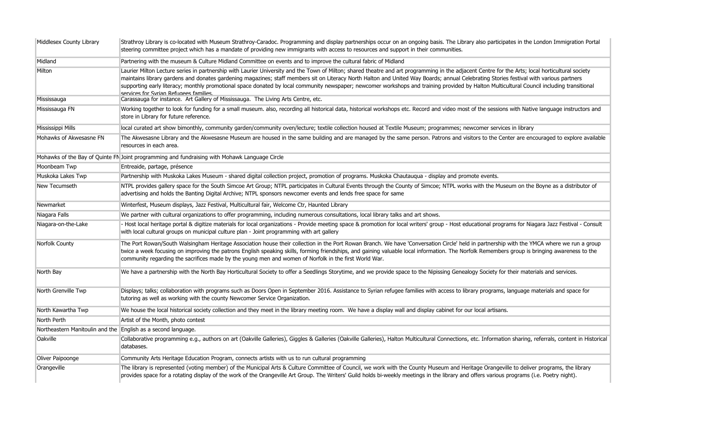| Middlesex County Library                                      | Strathroy Library is co-located with Museum Strathroy-Caradoc. Programming and display partnerships occur on an ongoing basis. The Library also participates in the London Immigration Portal<br>steering committee project which has a mandate of providing new immigrants with access to resources and support in their communities.                                                                                                                                                                                                                                                                                            |
|---------------------------------------------------------------|-----------------------------------------------------------------------------------------------------------------------------------------------------------------------------------------------------------------------------------------------------------------------------------------------------------------------------------------------------------------------------------------------------------------------------------------------------------------------------------------------------------------------------------------------------------------------------------------------------------------------------------|
| Midland                                                       | Partnering with the museum & Culture Midland Committee on events and to improve the cultural fabric of Midland                                                                                                                                                                                                                                                                                                                                                                                                                                                                                                                    |
| Milton                                                        | Laurier Milton Lecture series in partnership with Laurier University and the Town of Milton; shared theatre and art programming in the adjacent Centre for the Arts; local horticultural society<br>maintains library gardens and donates gardening magazines; staff members sit on Literacy North Halton and United Way Boards; annual Celebrating Stories festival with various partners<br>supporting early literacy; monthly promotional space donated by local community newspaper; newcomer workshops and training provided by Halton Multicultural Council including transitional<br>services for Syrian Refunees families |
| Mississauga                                                   | Carassauga for instance. Art Gallery of Mississauga. The Living Arts Centre, etc.                                                                                                                                                                                                                                                                                                                                                                                                                                                                                                                                                 |
| Mississauga FN                                                | Working together to look for funding for a small museum. also, recording all historical data, historical workshops etc. Record and video most of the sessions with Native language instructors and<br>store in Library for future reference.                                                                                                                                                                                                                                                                                                                                                                                      |
| Mississippi Mills                                             | local curated art show bimonthly, community garden/community oven/lecture; textile collection housed at Textile Museum; programmes; newcomer services in library                                                                                                                                                                                                                                                                                                                                                                                                                                                                  |
| Mohawks of Akwesasne FN                                       | The Akwesasne Library and the Akwesasne Museum are housed in the same building and are managed by the same person. Patrons and visitors to the Center are encouraged to explore available<br>resources in each area.                                                                                                                                                                                                                                                                                                                                                                                                              |
|                                                               | Mohawks of the Bay of Quinte FN Joint programming and fundraising with Mohawk Language Circle                                                                                                                                                                                                                                                                                                                                                                                                                                                                                                                                     |
| Moonbeam Twp                                                  | Entreaide, partage, présence                                                                                                                                                                                                                                                                                                                                                                                                                                                                                                                                                                                                      |
| Muskoka Lakes Twp                                             | Partnership with Muskoka Lakes Museum - shared digital collection project, promotion of programs. Muskoka Chautauqua - display and promote events.                                                                                                                                                                                                                                                                                                                                                                                                                                                                                |
| New Tecumseth                                                 | NTPL provides gallery space for the South Simcoe Art Group; NTPL participates in Cultural Events through the County of Simcoe; NTPL works with the Museum on the Boyne as a distributor of<br>advertising and holds the Banting Digital Archive; NTPL sponsors newcomer events and lends free space for same                                                                                                                                                                                                                                                                                                                      |
| Newmarket                                                     | Winterfest, Museum displays, Jazz Festival, Multicultural fair, Welcome Ctr, Haunted Library                                                                                                                                                                                                                                                                                                                                                                                                                                                                                                                                      |
| Niagara Falls                                                 | We partner with cultural organizations to offer programming, including numerous consultations, local library talks and art shows.                                                                                                                                                                                                                                                                                                                                                                                                                                                                                                 |
| Niagara-on-the-Lake                                           | - Host local heritage portal & digitize materials for local organizations - Provide meeting space & promotion for local writers' group - Host educational programs for Niagara Jazz Festival - Consult<br>with local cultural groups on municipal culture plan - Joint programming with art gallery                                                                                                                                                                                                                                                                                                                               |
| Norfolk County                                                | The Port Rowan/South Walsingham Heritage Association house their collection in the Port Rowan Branch. We have 'Conversation Circle' held in partnership with the YMCA where we run a group<br>twice a week focusing on improving the patrons English speaking skills, forming friendships, and gaining valuable local information. The Norfolk Remembers group is bringing awareness to the<br>community regarding the sacrifices made by the young men and women of Norfolk in the first World War.                                                                                                                              |
| North Bay                                                     | We have a partnership with the North Bay Horticultural Society to offer a Seedlings Storytime, and we provide space to the Nipissing Genealogy Society for their materials and services.                                                                                                                                                                                                                                                                                                                                                                                                                                          |
| North Grenville Twp                                           | Displays; talks; collaboration with programs such as Doors Open in September 2016. Assistance to Syrian refugee families with access to library programs, language materials and space for<br>tutoring as well as working with the county Newcomer Service Organization.                                                                                                                                                                                                                                                                                                                                                          |
| North Kawartha Twp                                            | We house the local historical society collection and they meet in the library meeting room. We have a display wall and display cabinet for our local artisans.                                                                                                                                                                                                                                                                                                                                                                                                                                                                    |
| North Perth                                                   | Artist of the Month, photo contest                                                                                                                                                                                                                                                                                                                                                                                                                                                                                                                                                                                                |
| Northeastern Manitoulin and the English as a second language. |                                                                                                                                                                                                                                                                                                                                                                                                                                                                                                                                                                                                                                   |
| Oakville                                                      | Collaborative programming e.g., authors on art (Oakville Galleries), Giggles & Galleries (Oakville Galleries), Halton Multicultural Connections, etc. Information sharing, referrals, content in Historical<br>databases.                                                                                                                                                                                                                                                                                                                                                                                                         |
| Oliver Paipoonge                                              | Community Arts Heritage Education Program, connects artists with us to run cultural programming                                                                                                                                                                                                                                                                                                                                                                                                                                                                                                                                   |
| Orangeville                                                   | The library is represented (voting member) of the Municipal Arts & Culture Committee of Council, we work with the County Museum and Heritage Orangeville to deliver programs, the library<br>provides space for a rotating display of the work of the Orangeville Art Group. The Writers' Guild holds bi-weekly meetings in the library and offers various programs (i.e. Poetry night).                                                                                                                                                                                                                                          |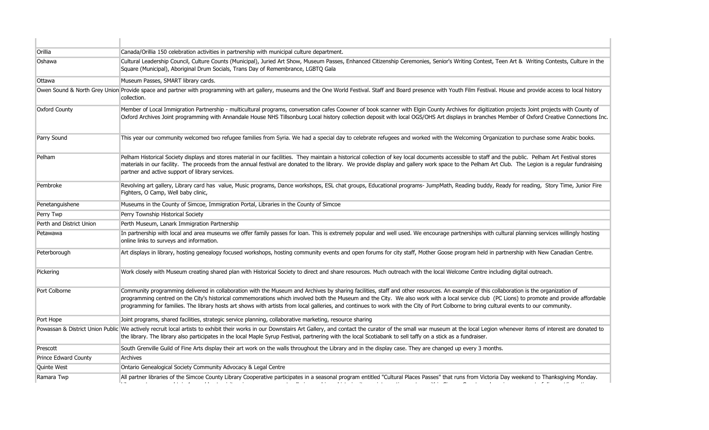| Orillia                     | Canada/Orillia 150 celebration activities in partnership with municipal culture department.                                                                                                                                                                                                                                                                                                                                                                                                                                                                                         |
|-----------------------------|-------------------------------------------------------------------------------------------------------------------------------------------------------------------------------------------------------------------------------------------------------------------------------------------------------------------------------------------------------------------------------------------------------------------------------------------------------------------------------------------------------------------------------------------------------------------------------------|
| Oshawa                      | Cultural Leadership Council, Culture Counts (Municipal), Juried Art Show, Museum Passes, Enhanced Citizenship Ceremonies, Senior's Writing Contest, Teen Art & Writing Contests, Culture in the<br>Square (Municipal), Aboriginal Drum Socials, Trans Day of Remembrance, LGBTQ Gala                                                                                                                                                                                                                                                                                                |
| Ottawa                      | Museum Passes, SMART library cards.                                                                                                                                                                                                                                                                                                                                                                                                                                                                                                                                                 |
|                             | Owen Sound & North Grey Union Provide space and partner with programming with art gallery, museums and the One World Festival. Staff and Board presence with Youth Film Festival. House and provide access to local history<br>collection.                                                                                                                                                                                                                                                                                                                                          |
| <b>Oxford County</b>        | Member of Local Immigration Partnership - multicultural programs, conversation cafes Coowner of book scanner with Elgin County Archives for digitization projects Joint projects with County of<br>Oxford Archives Joint programming with Annandale House NHS Tillsonburg Local history collection deposit with local OGS/OHS Art displays in branches Member of Oxford Creative Connections Inc.                                                                                                                                                                                   |
| Parry Sound                 | This year our community welcomed two refugee families from Syria. We had a special day to celebrate refugees and worked with the Welcoming Organization to purchase some Arabic books.                                                                                                                                                                                                                                                                                                                                                                                              |
| Pelham                      | Pelham Historical Society displays and stores material in our facilities. They maintain a historical collection of key local documents accessible to staff and the public. Pelham Art Festival stores<br>materials in our facility. The proceeds from the annual festival are donated to the library. We provide display and gallery work space to the Pelham Art Club. The Legion is a regular fundraising<br>partner and active support of library services.                                                                                                                      |
| Pembroke                    | Revolving art gallery, Library card has value, Music programs, Dance workshops, ESL chat groups, Educational programs- JumpMath, Reading buddy, Ready for reading, Story Time, Junior Fire<br>Fighters, O Camp, Well baby clinic,                                                                                                                                                                                                                                                                                                                                                   |
| Penetanguishene             | Museums in the County of Simcoe, Immigration Portal, Libraries in the County of Simcoe                                                                                                                                                                                                                                                                                                                                                                                                                                                                                              |
| Perry Twp                   | Perry Township Historical Society                                                                                                                                                                                                                                                                                                                                                                                                                                                                                                                                                   |
| Perth and District Union    | Perth Museum, Lanark Immigration Partnership                                                                                                                                                                                                                                                                                                                                                                                                                                                                                                                                        |
| Petawawa                    | In partnership with local and area museums we offer family passes for loan. This is extremely popular and well used. We encourage partnerships with cultural planning services willingly hosting<br>online links to surveys and information.                                                                                                                                                                                                                                                                                                                                        |
| Peterborough                | Art displays in library, hosting genealogy focused workshops, hosting community events and open forums for city staff, Mother Goose program held in partnership with New Canadian Centre.                                                                                                                                                                                                                                                                                                                                                                                           |
| Pickering                   | Work closely with Museum creating shared plan with Historical Society to direct and share resources. Much outreach with the local Welcome Centre including digital outreach.                                                                                                                                                                                                                                                                                                                                                                                                        |
| Port Colborne               | Community programming delivered in collaboration with the Museum and Archives by sharing facilities, staff and other resources. An example of this collaboration is the organization of<br>programming centred on the City's historical commemorations which involved both the Museum and the City. We also work with a local service club (PC Lions) to promote and provide affordable<br>programming for families. The library hosts art shows with artists from local galleries, and continues to work with the City of Port Colborne to bring cultural events to our community. |
| Port Hope                   | Joint programs, shared facilities, strategic service planning, collaborative marketing, resource sharing                                                                                                                                                                                                                                                                                                                                                                                                                                                                            |
|                             | Powassan & District Union Public We actively recruit local artists to exhibit their works in our Downstairs Art Gallery, and contact the curator of the small war museum at the local Legion whenever items of interest are do<br>the library. The library also participates in the local Maple Syrup Festival, partnering with the local Scotiabank to sell taffy on a stick as a fundraiser.                                                                                                                                                                                      |
| Prescott                    | South Grenville Guild of Fine Arts display their art work on the walls throughout the Library and in the display case. They are changed up every 3 months.                                                                                                                                                                                                                                                                                                                                                                                                                          |
| <b>Prince Edward County</b> | Archives                                                                                                                                                                                                                                                                                                                                                                                                                                                                                                                                                                            |
| Quinte West                 | Ontario Genealogical Society Community Advocacy & Legal Centre                                                                                                                                                                                                                                                                                                                                                                                                                                                                                                                      |
| Ramara Twp                  | All partner libraries of the Simcoe County Library Cooperative participates in a seasonal program entitled "Cultural Places Passes" that runs from Victoria Day weekend to Thanksgiving Monday.<br>المستقطع المتاريخ والمعارية والمستقيمة والمعراب واستعراب المنادي المتاريخ والمعارض بقرار سنعتب                                                                                                                                                                                                                                                                                   |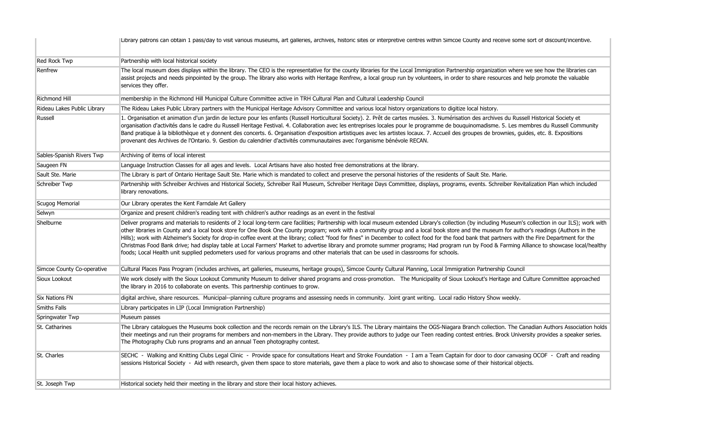|                             | Library patrons can obtain 1 pass/day to visit various museums, art galleries, archives, historic sites or interpretive centres within Simcoe County and receive some sort of discount/incentive.                                                                                                                                                                                                                                                                                                                                                                                                                                                                                                                                                                                                                                                                                                                                                     |
|-----------------------------|-------------------------------------------------------------------------------------------------------------------------------------------------------------------------------------------------------------------------------------------------------------------------------------------------------------------------------------------------------------------------------------------------------------------------------------------------------------------------------------------------------------------------------------------------------------------------------------------------------------------------------------------------------------------------------------------------------------------------------------------------------------------------------------------------------------------------------------------------------------------------------------------------------------------------------------------------------|
| Red Rock Twp                | Partnership with local historical society                                                                                                                                                                                                                                                                                                                                                                                                                                                                                                                                                                                                                                                                                                                                                                                                                                                                                                             |
| Renfrew                     | The local museum does displays within the library. The CEO is the representative for the county libraries for the Local Immigration Partnership organization where we see how the libraries can<br>assist projects and needs pinpointed by the group. The library also works with Heritage Renfrew, a local group run by volunteers, in order to share resources and help promote the valuable<br>services they offer.                                                                                                                                                                                                                                                                                                                                                                                                                                                                                                                                |
| Richmond Hill               | membership in the Richmond Hill Municipal Culture Committee active in TRH Cultural Plan and Cultural Leadership Council                                                                                                                                                                                                                                                                                                                                                                                                                                                                                                                                                                                                                                                                                                                                                                                                                               |
| Rideau Lakes Public Library | The Rideau Lakes Public Library partners with the Municipal Heritage Advisory Committee and various local history organizations to digitize local history.                                                                                                                                                                                                                                                                                                                                                                                                                                                                                                                                                                                                                                                                                                                                                                                            |
| Russell                     | 1. Organisation et animation d'un jardin de lecture pour les enfants (Russell Horticultural Society). 2. Prêt de cartes musées. 3. Numérisation des archives du Russell Historical Society et<br>organisation d'activités dans le cadre du Russell Heritage Festival. 4. Collaboration avec les entreprises locales pour le programme de bouquinomadisme. 5. Les membres du Russell Community<br>Band pratique à la bibliothèque et y donnent des concerts. 6. Organisation d'exposition artistiques avec les artistes locaux. 7. Accueil des groupes de brownies, guides, etc. 8. Expositions<br>provenant des Archives de l'Ontario. 9. Gestion du calendrier d'activités communautaires avec l'organisme bénévole RECAN.                                                                                                                                                                                                                           |
| Sables-Spanish Rivers Twp   | Archiving of items of local interest                                                                                                                                                                                                                                                                                                                                                                                                                                                                                                                                                                                                                                                                                                                                                                                                                                                                                                                  |
| Saugeen FN                  | Language Instruction Classes for all ages and levels. Local Artisans have also hosted free demonstrations at the library.                                                                                                                                                                                                                                                                                                                                                                                                                                                                                                                                                                                                                                                                                                                                                                                                                             |
| Sault Ste. Marie            | The Library is part of Ontario Heritage Sault Ste. Marie which is mandated to collect and preserve the personal histories of the residents of Sault Ste. Marie.                                                                                                                                                                                                                                                                                                                                                                                                                                                                                                                                                                                                                                                                                                                                                                                       |
| Schreiber Twp               | Partnership with Schreiber Archives and Historical Society, Schreiber Rail Museum, Schreiber Heritage Days Committee, displays, programs, events. Schreiber Revitalization Plan which included<br>library renovations.                                                                                                                                                                                                                                                                                                                                                                                                                                                                                                                                                                                                                                                                                                                                |
| Scugog Memorial             | Our Library operates the Kent Farndale Art Gallery                                                                                                                                                                                                                                                                                                                                                                                                                                                                                                                                                                                                                                                                                                                                                                                                                                                                                                    |
| Selwyn                      | Organize and present children's reading tent with children's author readings as an event in the festival                                                                                                                                                                                                                                                                                                                                                                                                                                                                                                                                                                                                                                                                                                                                                                                                                                              |
| Shelburne                   | Deliver programs and materials to residents of 2 local long-term care facilities; Partnership with local museum extended Library's collection (by including Museum's collection in our ILS); work with<br>other libraries in County and a local book store for One Book One County program; work with a community group and a local book store and the museum for author's readings (Authors in the<br>Hills); work with Alzheimer's Society for drop-in coffee event at the library; collect "food for fines" in December to collect food for the food bank that partners with the Fire Department for the<br>Christmas Food Bank drive; had display table at Local Farmers' Market to advertise library and promote summer programs; Had program run by Food & Farming Alliance to showcase local/healthy<br>foods; Local Health unit supplied pedometers used for various programs and other materials that can be used in classrooms for schools. |
| Simcoe County Co-operative  | Cultural Places Pass Program (includes archives, art galleries, museums, heritage groups), Simcoe County Cultural Planning, Local Immigration Partnership Council                                                                                                                                                                                                                                                                                                                                                                                                                                                                                                                                                                                                                                                                                                                                                                                     |
| Sioux Lookout               | We work closely with the Sioux Lookout Community Museum to deliver shared programs and cross-promotion. The Municipality of Sioux Lookout's Heritage and Culture Committee approached<br>the library in 2016 to collaborate on events. This partnership continues to grow.                                                                                                                                                                                                                                                                                                                                                                                                                                                                                                                                                                                                                                                                            |
| <b>Six Nations FN</b>       | digital archive, share resources. Municipal--planning culture programs and assessing needs in community. Joint grant writing. Local radio History Show weekly.                                                                                                                                                                                                                                                                                                                                                                                                                                                                                                                                                                                                                                                                                                                                                                                        |
| <b>Smiths Falls</b>         | Library participates in LIP (Local Immigration Partnership)                                                                                                                                                                                                                                                                                                                                                                                                                                                                                                                                                                                                                                                                                                                                                                                                                                                                                           |
| Springwater Twp             | Museum passes                                                                                                                                                                                                                                                                                                                                                                                                                                                                                                                                                                                                                                                                                                                                                                                                                                                                                                                                         |
| St. Catharines              | The Library catalogues the Museums book collection and the records remain on the Library's ILS. The Library maintains the OGS-Niagara Branch collection. The Canadian Authors Association holds<br>their meetings and run their programs for members and non-members in the Library. They provide authors to judge our Teen reading contest entries. Brock University provides a speaker series.<br>The Photography Club runs programs and an annual Teen photography contest.                                                                                                                                                                                                                                                                                                                                                                                                                                                                        |
| St. Charles                 | SECHC - Walking and Knitting Clubs Legal Clinic - Provide space for consultations Heart and Stroke Foundation - I am a Team Captain for door to door canvasing OCOF - Craft and reading<br>sessions Historical Society - Aid with research, given them space to store materials, gave them a place to work and also to showcase some of their historical objects.                                                                                                                                                                                                                                                                                                                                                                                                                                                                                                                                                                                     |
| St. Joseph Twp              | Historical society held their meeting in the library and store their local history achieves.                                                                                                                                                                                                                                                                                                                                                                                                                                                                                                                                                                                                                                                                                                                                                                                                                                                          |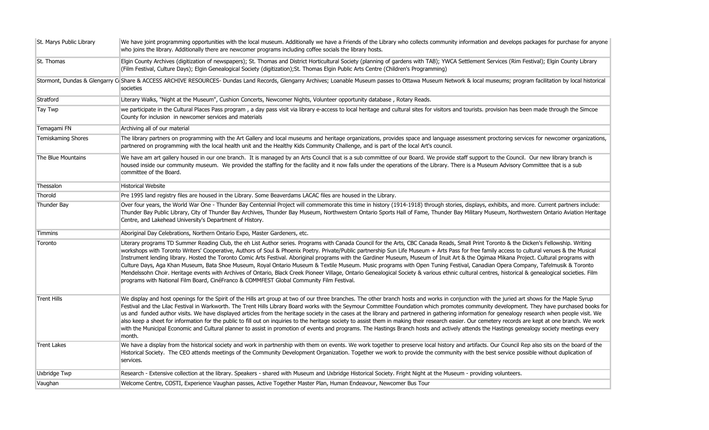| St. Marys Public Library | We have joint programming opportunities with the local museum. Additionally we have a Friends of the Library who collects community information and develops packages for purchase for anyone<br>who joins the library. Additionally there are newcomer programs including coffee socials the library hosts.                                                                                                                                                                                                                                                                                                                                                                                                                                                                                                                                                                                                                                                                                                                                                                |
|--------------------------|-----------------------------------------------------------------------------------------------------------------------------------------------------------------------------------------------------------------------------------------------------------------------------------------------------------------------------------------------------------------------------------------------------------------------------------------------------------------------------------------------------------------------------------------------------------------------------------------------------------------------------------------------------------------------------------------------------------------------------------------------------------------------------------------------------------------------------------------------------------------------------------------------------------------------------------------------------------------------------------------------------------------------------------------------------------------------------|
| St. Thomas               | Elgin County Archives (digitization of newspapers); St. Thomas and District Horticultural Society (planning of gardens with TAB); YWCA Settlement Services (Rim Festival); Elgin County Library<br>(Film Festival, Culture Days); Elgin Genealogical Society (digitization);St. Thomas Elgin Public Arts Centre (Children's Programming)                                                                                                                                                                                                                                                                                                                                                                                                                                                                                                                                                                                                                                                                                                                                    |
|                          | Stormont, Dundas & Glengarry C Share & ACCESS ARCHIVE RESOURCES- Dundas Land Records, Glengarry Archives; Loanable Museum passes to Ottawa Museum Network & local museums; program facilitation by local historical<br>societies                                                                                                                                                                                                                                                                                                                                                                                                                                                                                                                                                                                                                                                                                                                                                                                                                                            |
| Stratford                | Literary Walks, "Night at the Museum", Cushion Concerts, Newcomer Nights, Volunteer opportunity database, Rotary Reads.                                                                                                                                                                                                                                                                                                                                                                                                                                                                                                                                                                                                                                                                                                                                                                                                                                                                                                                                                     |
| Tay Twp                  | we participate in the Cultural Places Pass program, a day pass visit via library e-access to local heritage and cultural sites for visitors and tourists. provision has been made through the Simcoe<br>County for inclusion in newcomer services and materials                                                                                                                                                                                                                                                                                                                                                                                                                                                                                                                                                                                                                                                                                                                                                                                                             |
| Temagami FN              | Archiving all of our material                                                                                                                                                                                                                                                                                                                                                                                                                                                                                                                                                                                                                                                                                                                                                                                                                                                                                                                                                                                                                                               |
| Temiskaming Shores       | The library partners on programming with the Art Gallery and local museums and heritage organizations, provides space and language assessment proctoring services for newcomer organizations,<br>partnered on programming with the local health unit and the Healthy Kids Community Challenge, and is part of the local Art's council.                                                                                                                                                                                                                                                                                                                                                                                                                                                                                                                                                                                                                                                                                                                                      |
| The Blue Mountains       | We have am art gallery housed in our one branch. It is managed by an Arts Council that is a sub committee of our Board. We provide staff support to the Council. Our new library branch is<br>housed inside our community museum. We provided the staffing for the facility and it now falls under the operations of the Library. There is a Museum Advisory Committee that is a sub<br>committee of the Board.                                                                                                                                                                                                                                                                                                                                                                                                                                                                                                                                                                                                                                                             |
| Thessalon                | <b>Historical Website</b>                                                                                                                                                                                                                                                                                                                                                                                                                                                                                                                                                                                                                                                                                                                                                                                                                                                                                                                                                                                                                                                   |
| Thorold                  | Pre 1995 land registry files are housed in the Library. Some Beaverdams LACAC files are housed in the Library.                                                                                                                                                                                                                                                                                                                                                                                                                                                                                                                                                                                                                                                                                                                                                                                                                                                                                                                                                              |
| Thunder Bay              | Over four years, the World War One - Thunder Bay Centennial Project will commemorate this time in history (1914-1918) through stories, displays, exhibits, and more. Current partners include:<br>Thunder Bay Public Library, City of Thunder Bay Archives, Thunder Bay Museum, Northwestern Ontario Sports Hall of Fame, Thunder Bay Military Museum, Northwestern Ontario Aviation Heritage<br>Centre, and Lakehead University's Department of History.                                                                                                                                                                                                                                                                                                                                                                                                                                                                                                                                                                                                                   |
| Timmins                  | Aboriginal Day Celebrations, Northern Ontario Expo, Master Gardeners, etc.                                                                                                                                                                                                                                                                                                                                                                                                                                                                                                                                                                                                                                                                                                                                                                                                                                                                                                                                                                                                  |
| Toronto                  | Literary programs TD Summer Reading Club, the eh List Author series. Programs with Canada Council for the Arts, CBC Canada Reads, Small Print Toronto & the Dicken's Fellowship. Writing<br>workshops with Toronto Writers' Cooperative, Authors of Soul & Phoenix Poetry. Private/Public partnership Sun Life Museum + Arts Pass for free family access to cultural venues & the Musical<br>Instrument lending library. Hosted the Toronto Comic Arts Festival. Aboriginal programs with the Gardiner Museum, Museum of Inuit Art & the Ogimaa Mikana Project. Cultural programs with<br>Culture Days, Aga Khan Museum, Bata Shoe Museum, Royal Ontario Museum & Textile Museum. Music programs with Open Tuning Festival, Canadian Opera Company, Tafelmusik & Toronto<br>Mendelssohn Choir. Heritage events with Archives of Ontario, Black Creek Pioneer Village, Ontario Genealogical Society & various ethnic cultural centres, historical & genealogical societies. Film<br>programs with National Film Board, CinéFranco & COMMFEST Global Community Film Festival. |
| <b>Trent Hills</b>       | We display and host openings for the Spirit of the Hills art group at two of our three branches. The other branch hosts and works in conjunction with the juried art shows for the Maple Syrup<br>Festival and the Lilac Festival in Warkworth. The Trent Hills Library Board works with the Seymour Committee Foundation which promotes community development. They have purchased books for<br>us and funded author visits. We have displayed articles from the heritage society in the cases at the library and partnered in gathering information for genealogy research when people visit. We<br>also keep a sheet for information for the public to fill out on inquiries to the heritage society to assist them in making their research easier. Our cemetery records are kept at one branch. We work<br>with the Municipal Economic and Cultural planner to assist in promotion of events and programs. The Hastings Branch hosts and actively attends the Hastings genealogy society meetings every<br>month.                                                      |
| <b>Trent Lakes</b>       | We have a display from the historical society and work in partnership with them on events. We work together to preserve local history and artifacts. Our Council Rep also sits on the board of the<br>Historical Society. The CEO attends meetings of the Community Development Organization. Together we work to provide the community with the best service possible without duplication of<br>services.                                                                                                                                                                                                                                                                                                                                                                                                                                                                                                                                                                                                                                                                  |
| <b>Uxbridge Twp</b>      | Research - Extensive collection at the library. Speakers - shared with Museum and Uxbridge Historical Society. Fright Night at the Museum - providing volunteers.                                                                                                                                                                                                                                                                                                                                                                                                                                                                                                                                                                                                                                                                                                                                                                                                                                                                                                           |
| Vaughan                  | Welcome Centre, COSTI, Experience Vaughan passes, Active Together Master Plan, Human Endeavour, Newcomer Bus Tour                                                                                                                                                                                                                                                                                                                                                                                                                                                                                                                                                                                                                                                                                                                                                                                                                                                                                                                                                           |